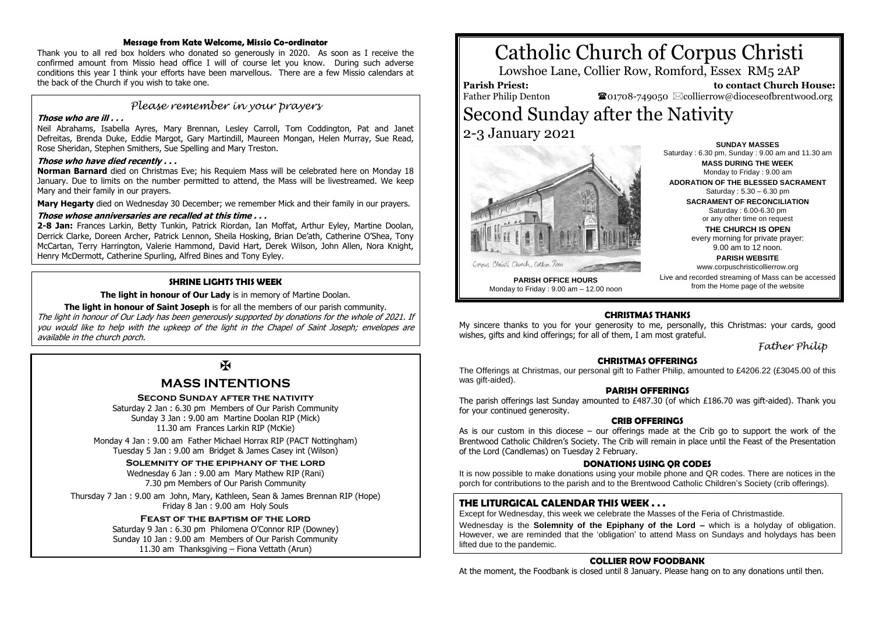### **Message from Kate Welcome, Missio Co-ordinator**

Thank you to all red box holders who donated so generously in 2020. As soon as I receive the confirmed amount from Missio head office I will of course let you know. During such adverse conditions this year I think your efforts have been marvellous. There are a few Missio calendars at the back of the Church if you wish to take one.

## *Please remember in your prayers*

### **Those who are ill . . .**

Neil Abrahams, Isabella Ayres, Mary Brennan, Lesley Carroll, Tom Coddington, Pat and Janet Defreitas, Brenda Duke, Eddie Margot, Gary Martindill, Maureen Mongan, Helen Murray, Sue Read, Rose Sheridan, Stephen Smithers, Sue Spelling and Mary Treston.

### **Those who have died recently . . .**

**Norman Barnard** died on Christmas Eve; his Requiem Mass will be celebrated here on Monday 18 January. Due to limits on the number permitted to attend, the Mass will be livestreamed. We keep Mary and their family in our prayers.

**Mary Hegarty** died on Wednesday 30 December; we remember Mick and their family in our prayers.

#### **Those whose anniversaries are recalled at this time . . .**

**2-8 Jan:** Frances Larkin, Betty Tunkin, Patrick Riordan, Ian Moffat, Arthur Eyley, Martine Doolan, Derrick Clarke, Doreen Archer, Patrick Lennon, Sheila Hosking, Brian De'ath, Catherine O'Shea, Tony McCartan, Terry Harrington, Valerie Hammond, David Hart, Derek Wilson, John Allen, Nora Knight, Henry McDermott, Catherine Spurling, Alfred Bines and Tony Eyley.

### **SHRINE LIGHTS THIS WEEK**

**The light in honour of Our Lady** is in memory of Martine Doolan.

**The light in honour of Saint Joseph** is for all the members of our parish community. The light in honour of Our Lady has been generously supported by donations for the whole of 2021. If you would like to help with the upkeep of the light in the Chapel of Saint Joseph; envelopes are available in the church porch.

# $\overline{\mathbf{R}}$

# **MASS INTENTIONS**

### **Second Sunday after the nativity**

Saturday 2 Jan : 6.30 pm Members of Our Parish Community Sunday 3 Jan : 9.00 am Martine Doolan RIP (Mick) 11.30 am Frances Larkin RIP (McKie)

Monday 4 Jan : 9.00 am Father Michael Horrax RIP (PACT Nottingham) Tuesday 5 Jan : 9.00 am Bridget & James Casey int (Wilson)

### **Solemnity of the epiphany of the lord**

Wednesday 6 Jan : 9.00 am Mary Mathew RIP (Rani) 7.30 pm Members of Our Parish Community

Thursday 7 Jan : 9.00 am John, Mary, Kathleen, Sean & James Brennan RIP (Hope) Friday 8 Jan : 9.00 am Holy Souls

### **Feast of the baptism of the lord**

Saturday 9 Jan : 6.30 pm Philomena O'Connor RIP (Downey) Sunday 10 Jan : 9.00 am Members of Our Parish Community 11.30 am Thanksgiving – Fiona Vettath (Arun)

# Catholic Church of Corpus Christi

Lowshoe Lane, Collier Row, Romford, Essex RM5 2AP

## **Parish Priest:**

Father Philip Denton

 **to contact Church House:**  $\bullet$ 01708-749050  $\boxtimes$ collierrow@dioceseofbrentwood.org

# Second Sunday after the Nativity 2-3 January 2021



**PARISH OFFICE HOURS** Monday to Friday : 9.00 am – 12.00 noon

**SUNDAY MASSES** Saturday : 6.30 pm, Sunday : 9.00 am and 11.30 am **MASS DURING THE WEEK** Monday to Friday : 9.00 am

**ADORATION OF THE BLESSED SACRAMENT** Saturday : 5.30 – 6.30 pm **SACRAMENT OF RECONCILIATION** Saturday : 6.00-6.30 pm

or any other time on request **THE CHURCH IS OPEN**

every morning for private prayer: 9.00 am to 12 noon.

**PARISH WEBSITE**

www.corpuschristicollierrow.org Live and recorded streaming of Mass can be accessed from the Home page of the website

### **CHRISTMAS THANKS**

My sincere thanks to you for your generosity to me, personally, this Christmas: your cards, good wishes, gifts and kind offerings; for all of them, I am most grateful.

*Father Philip*

### **CHRISTMAS OFFERINGS**

The Offerings at Christmas, our personal gift to Father Philip, amounted to £4206.22 (£3045.00 of this was gift-aided).

### **PARISH OFFERINGS**

The parish offerings last Sunday amounted to £487.30 (of which £186.70 was gift-aided). Thank you for your continued generosity.

### **CRIB OFFERINGS**

As is our custom in this diocese – our offerings made at the Crib go to support the work of the Brentwood Catholic Children's Society. The Crib will remain in place until the Feast of the Presentation of the Lord (Candlemas) on Tuesday 2 February.

### **DONATIONS USING QR CODES**

It is now possible to make donations using your mobile phone and QR codes. There are notices in the porch for contributions to the parish and to the Brentwood Catholic Children's Society (crib offerings).

### **THE LITURGICAL CALENDAR THIS WEEK . . .**

Except for Wednesday, this week we celebrate the Masses of the Feria of Christmastide.

Wednesday is the **Solemnity of the Epiphany of the Lord –** which is a holyday of obligation. However, we are reminded that the 'obligation' to attend Mass on Sundays and holydays has been lifted due to the pandemic.

### **COLLIER ROW FOODBANK**

At the moment, the Foodbank is closed until 8 January. Please hang on to any donations until then.